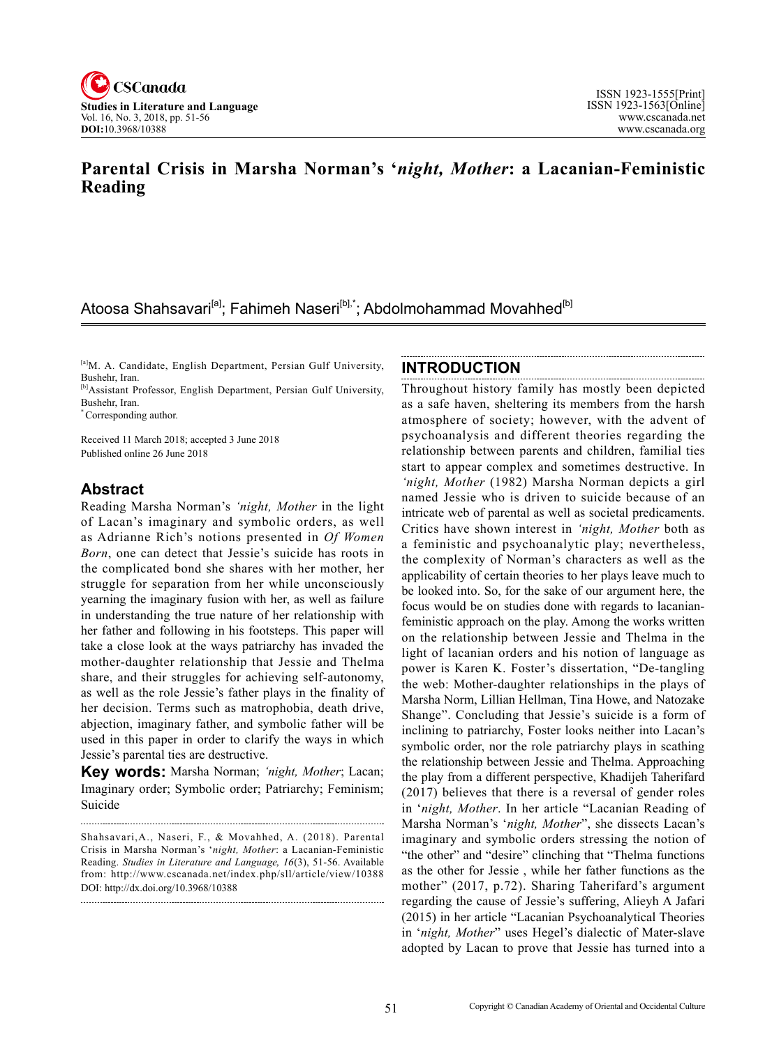

# **Parental Crisis in Marsha Norman's '***night, Mother***: a Lacanian-Feministic Reading**

# Atoosa Shahsavari<sup>[a]</sup>; Fahimeh Naseri<sup>[b],\*</sup>; Abdolmohammad Movahhed<sup>[b]</sup>

[a]M. A. Candidate, English Department, Persian Gulf University, Bushehr, Iran.

[b]Assistant Professor, English Department, Persian Gulf University, Bushehr, Iran.

Corresponding author.

Received 11 March 2018; accepted 3 June 2018 Published online 26 June 2018

#### **Abstract**

Reading Marsha Norman's *'night, Mother* in the light of Lacan's imaginary and symbolic orders, as well as Adrianne Rich's notions presented in *Of Women Born*, one can detect that Jessie's suicide has roots in the complicated bond she shares with her mother, her struggle for separation from her while unconsciously yearning the imaginary fusion with her, as well as failure in understanding the true nature of her relationship with her father and following in his footsteps. This paper will take a close look at the ways patriarchy has invaded the mother-daughter relationship that Jessie and Thelma share, and their struggles for achieving self-autonomy, as well as the role Jessie's father plays in the finality of her decision. Terms such as matrophobia, death drive, abjection, imaginary father, and symbolic father will be used in this paper in order to clarify the ways in which Jessie's parental ties are destructive.

**Key words:** Marsha Norman; *'night, Mother*; Lacan; Imaginary order; Symbolic order; Patriarchy; Feminism; Suicide

Shahsavari,A., Naseri, F., & Movahhed, A. (2018). Parental Crisis in Marsha Norman's '*night, Mother*: a Lacanian-Feministic Reading. *Studies in Literature and Language*, <sup>16</sup>(3), 51-56. Available from: http://www.cscanada.net/index.php/sll/article/view/10388 DOI: http://dx.doi.org/10.3968/10388

#### **INTRODUCTION**

Throughout history family has mostly been depicted as a safe haven, sheltering its members from the harsh atmosphere of society; however, with the advent of psychoanalysis and different theories regarding the relationship between parents and children, familial ties start to appear complex and sometimes destructive. In *'night, Mother* (1982) Marsha Norman depicts a girl named Jessie who is driven to suicide because of an intricate web of parental as well as societal predicaments. Critics have shown interest in *'night, Mother* both as a feministic and psychoanalytic play; nevertheless, the complexity of Norman's characters as well as the applicability of certain theories to her plays leave much to be looked into. So, for the sake of our argument here, the focus would be on studies done with regards to lacanianfeministic approach on the play. Among the works written on the relationship between Jessie and Thelma in the light of lacanian orders and his notion of language as power is Karen K. Foster's dissertation, "De-tangling the web: Mother-daughter relationships in the plays of Marsha Norm, Lillian Hellman, Tina Howe, and Natozake Shange". Concluding that Jessie's suicide is a form of inclining to patriarchy, Foster looks neither into Lacan's symbolic order, nor the role patriarchy plays in scathing the relationship between Jessie and Thelma. Approaching the play from a different perspective, Khadijeh Taherifard (2017) believes that there is a reversal of gender roles in '*night, Mother*. In her article "Lacanian Reading of Marsha Norman's '*night, Mother*", she dissects Lacan's imaginary and symbolic orders stressing the notion of "the other" and "desire" clinching that "Thelma functions as the other for Jessie , while her father functions as the mother" (2017, p.72). Sharing Taherifard's argument regarding the cause of Jessie's suffering, Alieyh A Jafari (2015) in her article "Lacanian Psychoanalytical Theories in '*night, Mother*" uses Hegel's dialectic of Mater-slave adopted by Lacan to prove that Jessie has turned into a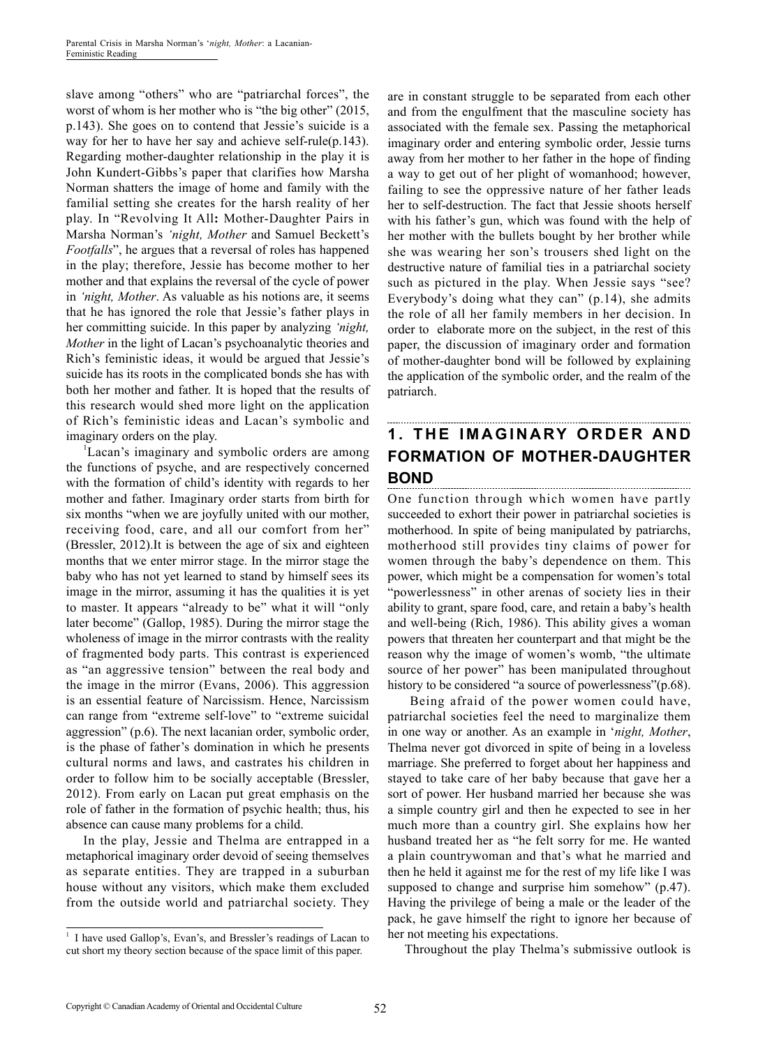slave among "others" who are "patriarchal forces", the worst of whom is her mother who is "the big other" (2015, p.143). She goes on to contend that Jessie's suicide is a way for her to have her say and achieve self-rule(p.143). Regarding mother-daughter relationship in the play it is John Kundert-Gibbs's paper that clarifies how Marsha Norman shatters the image of home and family with the familial setting she creates for the harsh reality of her play. In "Revolving It All**:** Mother-Daughter Pairs in Marsha Norman's *'night, Mother* and Samuel Beckett's *Footfalls*", he argues that a reversal of roles has happened in the play; therefore, Jessie has become mother to her mother and that explains the reversal of the cycle of power in *'night, Mother*. As valuable as his notions are, it seems that he has ignored the role that Jessie's father plays in her committing suicide. In this paper by analyzing *'night, Mother* in the light of Lacan's psychoanalytic theories and Rich's feministic ideas, it would be argued that Jessie's suicide has its roots in the complicated bonds she has with both her mother and father. It is hoped that the results of this research would shed more light on the application of Rich's feministic ideas and Lacan's symbolic and imaginary orders on the play.

<sup>1</sup>Lacan's imaginary and symbolic orders are among the functions of psyche, and are respectively concerned with the formation of child's identity with regards to her mother and father. Imaginary order starts from birth for six months "when we are joyfully united with our mother, receiving food, care, and all our comfort from her" (Bressler, 2012).It is between the age of six and eighteen months that we enter mirror stage. In the mirror stage the baby who has not yet learned to stand by himself sees its image in the mirror, assuming it has the qualities it is yet to master. It appears "already to be" what it will "only later become" (Gallop, 1985). During the mirror stage the wholeness of image in the mirror contrasts with the reality of fragmented body parts. This contrast is experienced as "an aggressive tension" between the real body and the image in the mirror (Evans, 2006). This aggression is an essential feature of Narcissism. Hence, Narcissism can range from "extreme self-love" to "extreme suicidal aggression" (p.6). The next lacanian order, symbolic order, is the phase of father's domination in which he presents cultural norms and laws, and castrates his children in order to follow him to be socially acceptable (Bressler, 2012). From early on Lacan put great emphasis on the role of father in the formation of psychic health; thus, his absence can cause many problems for a child.

In the play, Jessie and Thelma are entrapped in a metaphorical imaginary order devoid of seeing themselves as separate entities. They are trapped in a suburban house without any visitors, which make them excluded from the outside world and patriarchal society. They

are in constant struggle to be separated from each other and from the engulfment that the masculine society has associated with the female sex. Passing the metaphorical imaginary order and entering symbolic order, Jessie turns away from her mother to her father in the hope of finding a way to get out of her plight of womanhood; however, failing to see the oppressive nature of her father leads her to self-destruction. The fact that Jessie shoots herself with his father's gun, which was found with the help of her mother with the bullets bought by her brother while she was wearing her son's trousers shed light on the destructive nature of familial ties in a patriarchal society such as pictured in the play. When Jessie says "see? Everybody's doing what they can" (p.14), she admits the role of all her family members in her decision. In order to elaborate more on the subject, in the rest of this paper, the discussion of imaginary order and formation of mother-daughter bond will be followed by explaining the application of the symbolic order, and the realm of the patriarch.

## **1. THE IMAGINARY ORDER AND FORMATION OF MOTHER-DAUGHTER BOND**

One function through which women have partly succeeded to exhort their power in patriarchal societies is motherhood. In spite of being manipulated by patriarchs, motherhood still provides tiny claims of power for women through the baby's dependence on them. This power, which might be a compensation for women's total "powerlessness" in other arenas of society lies in their ability to grant, spare food, care, and retain a baby's health and well-being (Rich, 1986). This ability gives a woman powers that threaten her counterpart and that might be the reason why the image of women's womb, "the ultimate source of her power" has been manipulated throughout history to be considered "a source of powerlessness"(p.68).

 Being afraid of the power women could have, patriarchal societies feel the need to marginalize them in one way or another. As an example in '*night, Mother*, Thelma never got divorced in spite of being in a loveless marriage. She preferred to forget about her happiness and stayed to take care of her baby because that gave her a sort of power. Her husband married her because she was a simple country girl and then he expected to see in her much more than a country girl. She explains how her husband treated her as "he felt sorry for me. He wanted a plain countrywoman and that's what he married and then he held it against me for the rest of my life like I was supposed to change and surprise him somehow" (p.47). Having the privilege of being a male or the leader of the pack, he gave himself the right to ignore her because of her not meeting his expectations.

Throughout the play Thelma's submissive outlook is

<sup>&</sup>lt;sup>1</sup> I have used Gallop's, Evan's, and Bressler's readings of Lacan to cut short my theory section because of the space limit of this paper.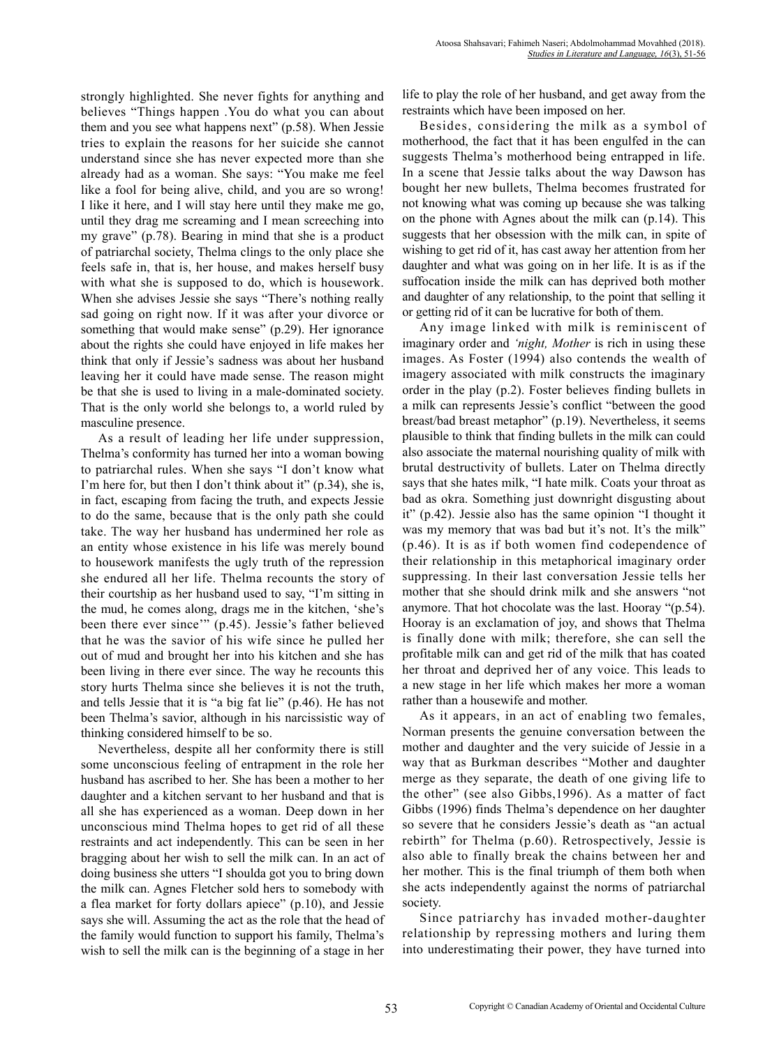strongly highlighted. She never fights for anything and believes "Things happen .You do what you can about them and you see what happens next" (p.58). When Jessie tries to explain the reasons for her suicide she cannot understand since she has never expected more than she already had as a woman. She says: "You make me feel like a fool for being alive, child, and you are so wrong! I like it here, and I will stay here until they make me go, until they drag me screaming and I mean screeching into my grave" (p.78). Bearing in mind that she is a product of patriarchal society, Thelma clings to the only place she feels safe in, that is, her house, and makes herself busy with what she is supposed to do, which is housework. When she advises Jessie she says "There's nothing really sad going on right now. If it was after your divorce or something that would make sense" (p.29). Her ignorance about the rights she could have enjoyed in life makes her think that only if Jessie's sadness was about her husband leaving her it could have made sense. The reason might be that she is used to living in a male-dominated society. That is the only world she belongs to, a world ruled by masculine presence.

As a result of leading her life under suppression, Thelma's conformity has turned her into a woman bowing to patriarchal rules. When she says "I don't know what I'm here for, but then I don't think about it" (p.34), she is, in fact, escaping from facing the truth, and expects Jessie to do the same, because that is the only path she could take. The way her husband has undermined her role as an entity whose existence in his life was merely bound to housework manifests the ugly truth of the repression she endured all her life. Thelma recounts the story of their courtship as her husband used to say, "I'm sitting in the mud, he comes along, drags me in the kitchen, 'she's been there ever since'" (p.45). Jessie's father believed that he was the savior of his wife since he pulled her out of mud and brought her into his kitchen and she has been living in there ever since. The way he recounts this story hurts Thelma since she believes it is not the truth, and tells Jessie that it is "a big fat lie" (p.46). He has not been Thelma's savior, although in his narcissistic way of thinking considered himself to be so.

Nevertheless, despite all her conformity there is still some unconscious feeling of entrapment in the role her husband has ascribed to her. She has been a mother to her daughter and a kitchen servant to her husband and that is all she has experienced as a woman. Deep down in her unconscious mind Thelma hopes to get rid of all these restraints and act independently. This can be seen in her bragging about her wish to sell the milk can. In an act of doing business she utters "I shoulda got you to bring down the milk can. Agnes Fletcher sold hers to somebody with a flea market for forty dollars apiece" (p.10), and Jessie says she will. Assuming the act as the role that the head of the family would function to support his family, Thelma's wish to sell the milk can is the beginning of a stage in her life to play the role of her husband, and get away from the restraints which have been imposed on her.

Besides, considering the milk as a symbol of motherhood, the fact that it has been engulfed in the can suggests Thelma's motherhood being entrapped in life. In a scene that Jessie talks about the way Dawson has bought her new bullets, Thelma becomes frustrated for not knowing what was coming up because she was talking on the phone with Agnes about the milk can (p.14). This suggests that her obsession with the milk can, in spite of wishing to get rid of it, has cast away her attention from her daughter and what was going on in her life. It is as if the suffocation inside the milk can has deprived both mother and daughter of any relationship, to the point that selling it or getting rid of it can be lucrative for both of them.

Any image linked with milk is reminiscent of imaginary order and *'night, Mother* is rich in using these images. As Foster (1994) also contends the wealth of imagery associated with milk constructs the imaginary order in the play (p.2). Foster believes finding bullets in a milk can represents Jessie's conflict "between the good breast/bad breast metaphor" (p.19). Nevertheless, it seems plausible to think that finding bullets in the milk can could also associate the maternal nourishing quality of milk with brutal destructivity of bullets. Later on Thelma directly says that she hates milk, "I hate milk. Coats your throat as bad as okra. Something just downright disgusting about it" (p.42). Jessie also has the same opinion "I thought it was my memory that was bad but it's not. It's the milk" (p.46). It is as if both women find codependence of their relationship in this metaphorical imaginary order suppressing. In their last conversation Jessie tells her mother that she should drink milk and she answers "not anymore. That hot chocolate was the last. Hooray "(p.54). Hooray is an exclamation of joy, and shows that Thelma is finally done with milk; therefore, she can sell the profitable milk can and get rid of the milk that has coated her throat and deprived her of any voice. This leads to a new stage in her life which makes her more a woman rather than a housewife and mother.

As it appears, in an act of enabling two females, Norman presents the genuine conversation between the mother and daughter and the very suicide of Jessie in a way that as Burkman describes "Mother and daughter merge as they separate, the death of one giving life to the other" (see also Gibbs,1996). As a matter of fact Gibbs (1996) finds Thelma's dependence on her daughter so severe that he considers Jessie's death as "an actual rebirth" for Thelma (p.60). Retrospectively, Jessie is also able to finally break the chains between her and her mother. This is the final triumph of them both when she acts independently against the norms of patriarchal society.

Since patriarchy has invaded mother-daughter relationship by repressing mothers and luring them into underestimating their power, they have turned into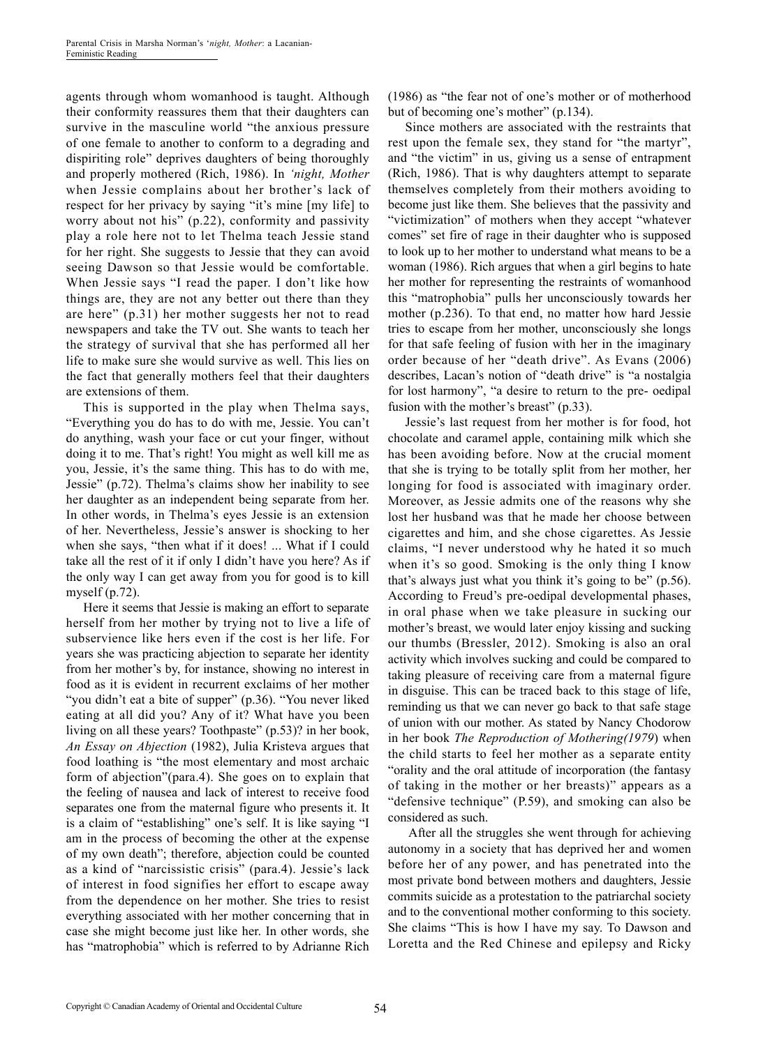agents through whom womanhood is taught. Although their conformity reassures them that their daughters can survive in the masculine world "the anxious pressure of one female to another to conform to a degrading and dispiriting role" deprives daughters of being thoroughly and properly mothered (Rich, 1986). In *'night, Mother* when Jessie complains about her brother's lack of respect for her privacy by saying "it's mine [my life] to worry about not his" (p.22), conformity and passivity play a role here not to let Thelma teach Jessie stand for her right. She suggests to Jessie that they can avoid seeing Dawson so that Jessie would be comfortable. When Jessie says "I read the paper. I don't like how things are, they are not any better out there than they are here" (p.31) her mother suggests her not to read newspapers and take the TV out. She wants to teach her the strategy of survival that she has performed all her life to make sure she would survive as well. This lies on the fact that generally mothers feel that their daughters are extensions of them.

This is supported in the play when Thelma says, "Everything you do has to do with me, Jessie. You can't do anything, wash your face or cut your finger, without doing it to me. That's right! You might as well kill me as you, Jessie, it's the same thing. This has to do with me, Jessie" (p.72). Thelma's claims show her inability to see her daughter as an independent being separate from her. In other words, in Thelma's eyes Jessie is an extension of her. Nevertheless, Jessie's answer is shocking to her when she says, "then what if it does! ... What if I could take all the rest of it if only I didn't have you here? As if the only way I can get away from you for good is to kill myself  $(p.72)$ .

Here it seems that Jessie is making an effort to separate herself from her mother by trying not to live a life of subservience like hers even if the cost is her life. For years she was practicing abjection to separate her identity from her mother's by, for instance, showing no interest in food as it is evident in recurrent exclaims of her mother "you didn't eat a bite of supper" (p.36). "You never liked eating at all did you? Any of it? What have you been living on all these years? Toothpaste" (p.53)? in her book, *An Essay on Abjection* (1982), Julia Kristeva argues that food loathing is "the most elementary and most archaic form of abjection"(para.4). She goes on to explain that the feeling of nausea and lack of interest to receive food separates one from the maternal figure who presents it. It is a claim of "establishing" one's self. It is like saying "I am in the process of becoming the other at the expense of my own death"; therefore, abjection could be counted as a kind of "narcissistic crisis" (para.4). Jessie's lack of interest in food signifies her effort to escape away from the dependence on her mother. She tries to resist everything associated with her mother concerning that in case she might become just like her. In other words, she has "matrophobia" which is referred to by Adrianne Rich (1986) as "the fear not of one's mother or of motherhood but of becoming one's mother" (p.134).

Since mothers are associated with the restraints that rest upon the female sex, they stand for "the martyr", and "the victim" in us, giving us a sense of entrapment (Rich, 1986). That is why daughters attempt to separate themselves completely from their mothers avoiding to become just like them. She believes that the passivity and "victimization" of mothers when they accept "whatever comes" set fire of rage in their daughter who is supposed to look up to her mother to understand what means to be a woman (1986). Rich argues that when a girl begins to hate her mother for representing the restraints of womanhood this "matrophobia" pulls her unconsciously towards her mother (p.236). To that end, no matter how hard Jessie tries to escape from her mother, unconsciously she longs for that safe feeling of fusion with her in the imaginary order because of her "death drive". As Evans (2006) describes, Lacan's notion of "death drive" is "a nostalgia for lost harmony", "a desire to return to the pre- oedipal fusion with the mother's breast" (p.33).

Jessie's last request from her mother is for food, hot chocolate and caramel apple, containing milk which she has been avoiding before. Now at the crucial moment that she is trying to be totally split from her mother, her longing for food is associated with imaginary order. Moreover, as Jessie admits one of the reasons why she lost her husband was that he made her choose between cigarettes and him, and she chose cigarettes. As Jessie claims, "I never understood why he hated it so much when it's so good. Smoking is the only thing I know that's always just what you think it's going to be" (p.56). According to Freud's pre-oedipal developmental phases, in oral phase when we take pleasure in sucking our mother's breast, we would later enjoy kissing and sucking our thumbs (Bressler, 2012). Smoking is also an oral activity which involves sucking and could be compared to taking pleasure of receiving care from a maternal figure in disguise. This can be traced back to this stage of life, reminding us that we can never go back to that safe stage of union with our mother. As stated by Nancy Chodorow in her book *The Reproduction of Mothering(1979*) when the child starts to feel her mother as a separate entity "orality and the oral attitude of incorporation (the fantasy of taking in the mother or her breasts)" appears as a "defensive technique" (P.59), and smoking can also be considered as such.

 After all the struggles she went through for achieving autonomy in a society that has deprived her and women before her of any power, and has penetrated into the most private bond between mothers and daughters, Jessie commits suicide as a protestation to the patriarchal society and to the conventional mother conforming to this society. She claims "This is how I have my say. To Dawson and Loretta and the Red Chinese and epilepsy and Ricky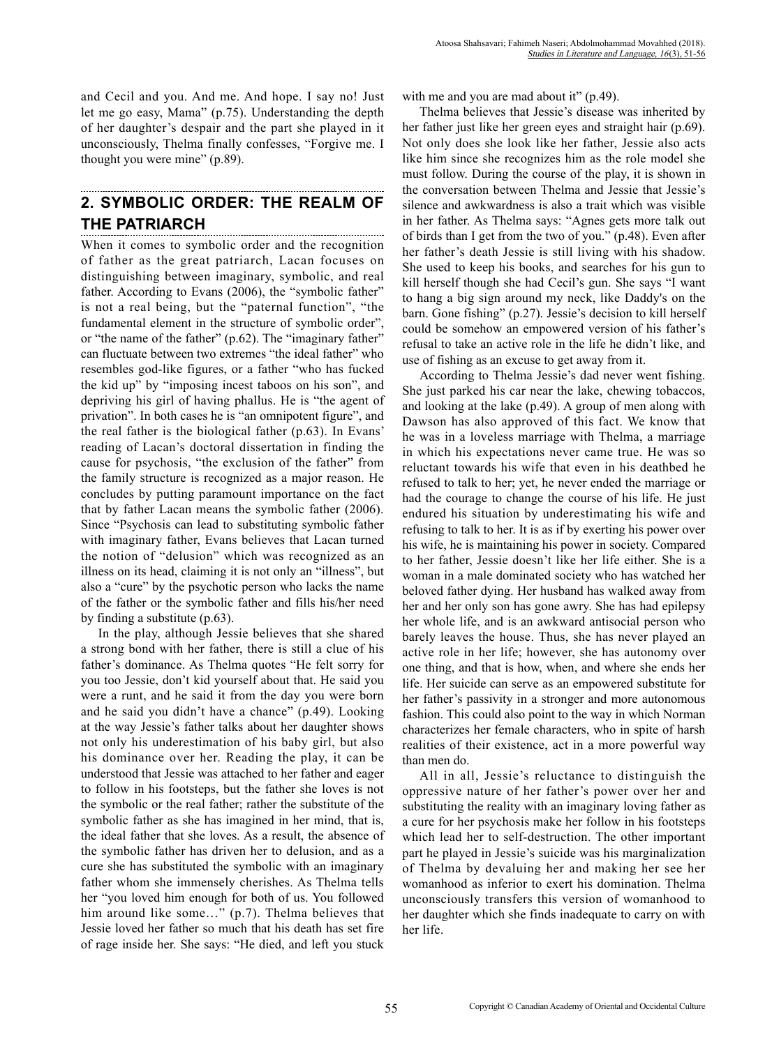and Cecil and you. And me. And hope. I say no! Just let me go easy, Mama" (p.75). Understanding the depth of her daughter's despair and the part she played in it unconsciously, Thelma finally confesses, "Forgive me. I thought you were mine" (p.89).

#### **2. SYMBOLIC ORDER: THE REALM OF THE PATRIARCH**

When it comes to symbolic order and the recognition of father as the great patriarch, Lacan focuses on distinguishing between imaginary, symbolic, and real father. According to Evans (2006), the "symbolic father" is not a real being, but the "paternal function", "the fundamental element in the structure of symbolic order", or "the name of the father" (p.62). The "imaginary father" can fluctuate between two extremes "the ideal father" who resembles god-like figures, or a father "who has fucked the kid up" by "imposing incest taboos on his son", and depriving his girl of having phallus. He is "the agent of privation". In both cases he is "an omnipotent figure", and the real father is the biological father (p.63). In Evans' reading of Lacan's doctoral dissertation in finding the cause for psychosis, "the exclusion of the father" from the family structure is recognized as a major reason. He concludes by putting paramount importance on the fact that by father Lacan means the symbolic father (2006). Since "Psychosis can lead to substituting symbolic father with imaginary father, Evans believes that Lacan turned the notion of "delusion" which was recognized as an illness on its head, claiming it is not only an "illness", but also a "cure" by the psychotic person who lacks the name of the father or the symbolic father and fills his/her need by finding a substitute (p.63).

In the play, although Jessie believes that she shared a strong bond with her father, there is still a clue of his father's dominance. As Thelma quotes "He felt sorry for you too Jessie, don't kid yourself about that. He said you were a runt, and he said it from the day you were born and he said you didn't have a chance" (p.49). Looking at the way Jessie's father talks about her daughter shows not only his underestimation of his baby girl, but also his dominance over her. Reading the play, it can be understood that Jessie was attached to her father and eager to follow in his footsteps, but the father she loves is not the symbolic or the real father; rather the substitute of the symbolic father as she has imagined in her mind, that is, the ideal father that she loves. As a result, the absence of the symbolic father has driven her to delusion, and as a cure she has substituted the symbolic with an imaginary father whom she immensely cherishes. As Thelma tells her "you loved him enough for both of us. You followed him around like some..." (p.7). Thelma believes that Jessie loved her father so much that his death has set fire of rage inside her. She says: "He died, and left you stuck with me and you are mad about it" (p.49).

Thelma believes that Jessie's disease was inherited by her father just like her green eyes and straight hair (p.69). Not only does she look like her father, Jessie also acts like him since she recognizes him as the role model she must follow. During the course of the play, it is shown in the conversation between Thelma and Jessie that Jessie's silence and awkwardness is also a trait which was visible in her father. As Thelma says: "Agnes gets more talk out of birds than I get from the two of you." (p.48). Even after her father's death Jessie is still living with his shadow. She used to keep his books, and searches for his gun to kill herself though she had Cecil's gun. She says "I want to hang a big sign around my neck, like Daddy's on the barn. Gone fishing" (p.27). Jessie's decision to kill herself could be somehow an empowered version of his father's refusal to take an active role in the life he didn't like, and use of fishing as an excuse to get away from it.

According to Thelma Jessie's dad never went fishing. She just parked his car near the lake, chewing tobaccos, and looking at the lake (p.49). A group of men along with Dawson has also approved of this fact. We know that he was in a loveless marriage with Thelma, a marriage in which his expectations never came true. He was so reluctant towards his wife that even in his deathbed he refused to talk to her; yet, he never ended the marriage or had the courage to change the course of his life. He just endured his situation by underestimating his wife and refusing to talk to her. It is as if by exerting his power over his wife, he is maintaining his power in society. Compared to her father, Jessie doesn't like her life either. She is a woman in a male dominated society who has watched her beloved father dying. Her husband has walked away from her and her only son has gone awry. She has had epilepsy her whole life, and is an awkward antisocial person who barely leaves the house. Thus, she has never played an active role in her life; however, she has autonomy over one thing, and that is how, when, and where she ends her life. Her suicide can serve as an empowered substitute for her father's passivity in a stronger and more autonomous fashion. This could also point to the way in which Norman characterizes her female characters, who in spite of harsh realities of their existence, act in a more powerful way than men do.

All in all, Jessie's reluctance to distinguish the oppressive nature of her father's power over her and substituting the reality with an imaginary loving father as a cure for her psychosis make her follow in his footsteps which lead her to self-destruction. The other important part he played in Jessie's suicide was his marginalization of Thelma by devaluing her and making her see her womanhood as inferior to exert his domination. Thelma unconsciously transfers this version of womanhood to her daughter which she finds inadequate to carry on with her life.